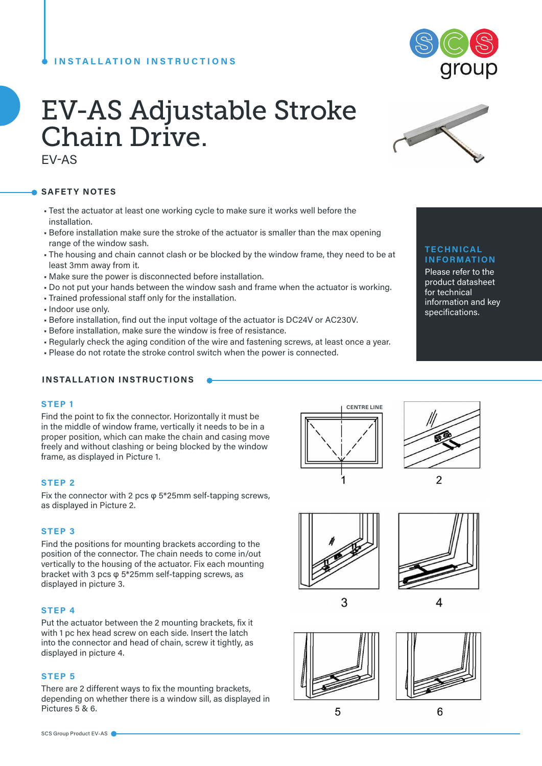# **INSTALLATION INSTRUCTIONS**



# EV-AS Adjustable Stroke Chain Drive.

EV-AS

## **SAFETY NOTES**

- Test the actuator at least one working cycle to make sure it works well before the installation.
- Before installation make sure the stroke of the actuator is smaller than the max opening range of the window sash.
- The housing and chain cannot clash or be blocked by the window frame, they need to be at least 3mm away from it.
- Make sure the power is disconnected before installation.
- Do not put your hands between the window sash and frame when the actuator is working.
- Trained professional staff only for the installation.
- Indoor use only.
- Before installation, find out the input voltage of the actuator is DC24V or AC230V.
- Before installation, make sure the window is free of resistance.
- Regularly check the aging condition of the wire and fastening screws, at least once a year.
- Please do not rotate the stroke control switch when the power is connected.

# **INSTALLATION INSTRUCTIONS**

#### **STEP 1**

Find the point to fix the connector. Horizontally it must be in the middle of window frame, vertically it needs to be in a proper position, which can make the chain and casing move freely and without clashing or being blocked by the window frame, as displayed in Picture 1.

#### **STEP 2**

Fix the connector with 2 pcs φ 5\*25mm self-tapping screws, as displayed in Picture 2.

#### **STEP 3**

Find the positions for mounting brackets according to the position of the connector. The chain needs to come in/out vertically to the housing of the actuator. Fix each mounting bracket with 3 pcs φ 5\*25mm self-tapping screws, as displayed in picture 3.

#### **STEP 4**

Put the actuator between the 2 mounting brackets, fix it with 1 pc hex head screw on each side. Insert the latch into the connector and head of chain, screw it tightly, as displayed in picture 4.

#### **STEP 5**

There are 2 different ways to fix the mounting brackets, depending on whether there is a window sill, as displayed in Pictures 5 & 6.







3





6







#### **TECHNICAL INFORMATION**

Please refer to the product datasheet for technical information and key specifications.